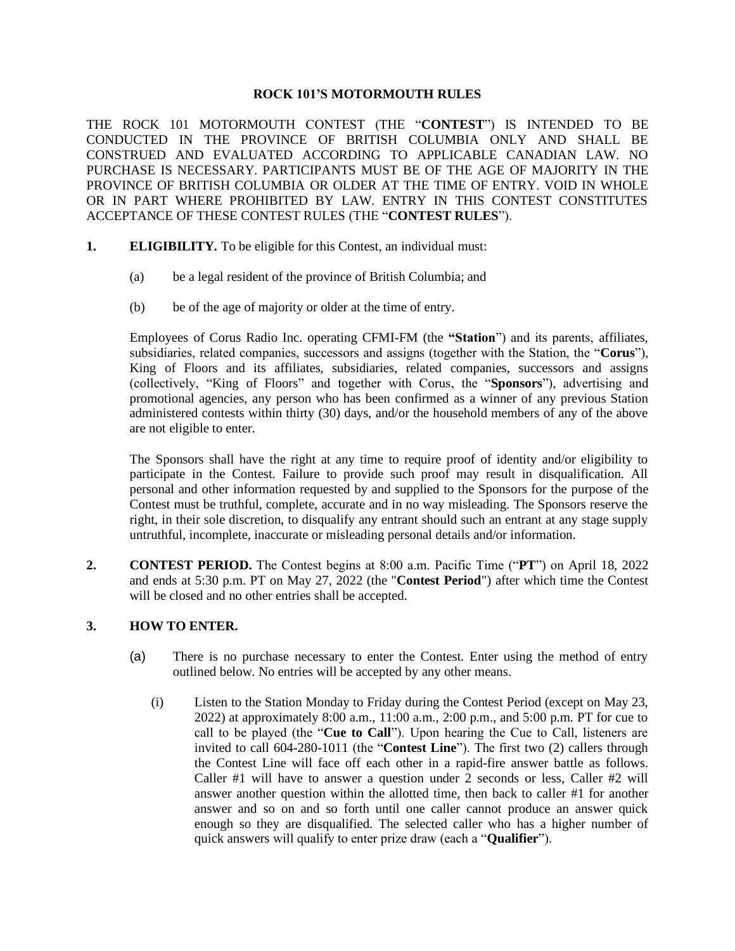#### **ROCK 101'S MOTORMOUTH RULES**

THE ROCK 101 MOTORMOUTH CONTEST (THE "**CONTEST**") IS INTENDED TO BE CONDUCTED IN THE PROVINCE OF BRITISH COLUMBIA ONLY AND SHALL BE CONSTRUED AND EVALUATED ACCORDING TO APPLICABLE CANADIAN LAW. NO PURCHASE IS NECESSARY. PARTICIPANTS MUST BE OF THE AGE OF MAJORITY IN THE PROVINCE OF BRITISH COLUMBIA OR OLDER AT THE TIME OF ENTRY. VOID IN WHOLE OR IN PART WHERE PROHIBITED BY LAW. ENTRY IN THIS CONTEST CONSTITUTES ACCEPTANCE OF THESE CONTEST RULES (THE "**CONTEST RULES**").

- **1. ELIGIBILITY.** To be eligible for this Contest, an individual must:
	- (a) be a legal resident of the province of British Columbia; and
	- (b) be of the age of majority or older at the time of entry.

Employees of Corus Radio Inc. operating CFMI-FM (the **"Station**") and its parents, affiliates, subsidiaries, related companies, successors and assigns (together with the Station, the "**Corus**"), King of Floors and its affiliates, subsidiaries, related companies, successors and assigns (collectively, "King of Floors" and together with Corus, the "**Sponsors**"), advertising and promotional agencies, any person who has been confirmed as a winner of any previous Station administered contests within thirty (30) days, and/or the household members of any of the above are not eligible to enter.

The Sponsors shall have the right at any time to require proof of identity and/or eligibility to participate in the Contest. Failure to provide such proof may result in disqualification. All personal and other information requested by and supplied to the Sponsors for the purpose of the Contest must be truthful, complete, accurate and in no way misleading. The Sponsors reserve the right, in their sole discretion, to disqualify any entrant should such an entrant at any stage supply untruthful, incomplete, inaccurate or misleading personal details and/or information.

**2. CONTEST PERIOD.** The Contest begins at 8:00 a.m. Pacific Time ("**PT**") on April 18, 2022 and ends at 5:30 p.m. PT on May 27, 2022 (the "**Contest Period**") after which time the Contest will be closed and no other entries shall be accepted.

## **3. HOW TO ENTER.**

- (a) There is no purchase necessary to enter the Contest. Enter using the method of entry outlined below. No entries will be accepted by any other means.
	- (i) Listen to the Station Monday to Friday during the Contest Period (except on May 23, 2022) at approximately 8:00 a.m., 11:00 a.m., 2:00 p.m., and 5:00 p.m. PT for cue to call to be played (the "**Cue to Call**"). Upon hearing the Cue to Call, listeners are invited to call 604-280-1011 (the "**Contest Line**"). The first two (2) callers through the Contest Line will face off each other in a rapid-fire answer battle as follows. Caller #1 will have to answer a question under 2 seconds or less, Caller #2 will answer another question within the allotted time, then back to caller #1 for another answer and so on and so forth until one caller cannot produce an answer quick enough so they are disqualified. The selected caller who has a higher number of quick answers will qualify to enter prize draw (each a "**Qualifier**").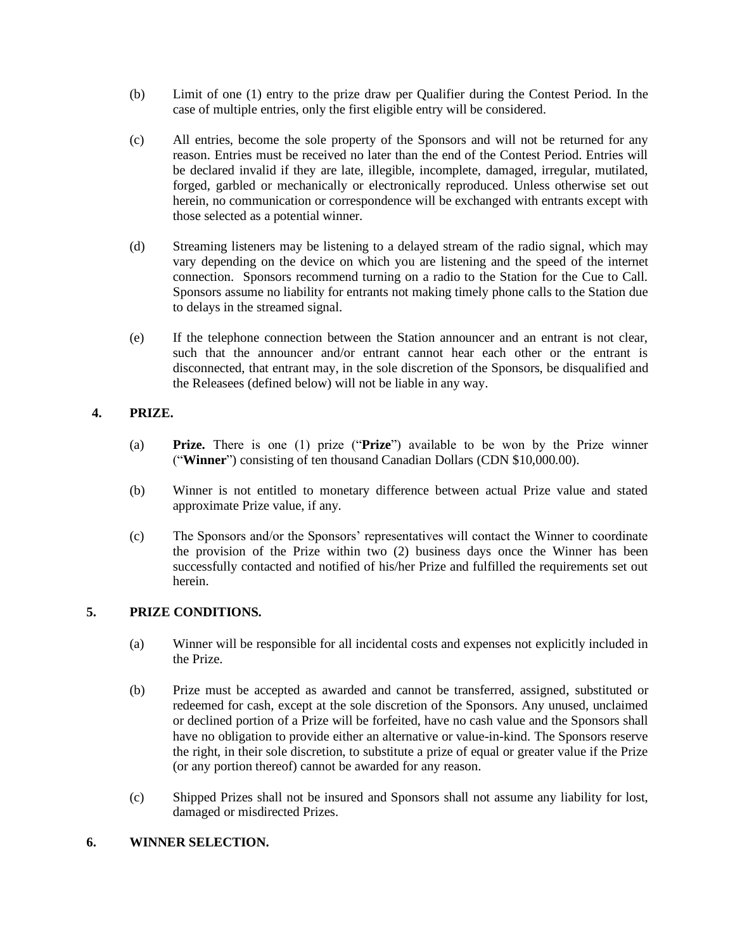- (b) Limit of one (1) entry to the prize draw per Qualifier during the Contest Period. In the case of multiple entries, only the first eligible entry will be considered.
- (c) All entries, become the sole property of the Sponsors and will not be returned for any reason. Entries must be received no later than the end of the Contest Period. Entries will be declared invalid if they are late, illegible, incomplete, damaged, irregular, mutilated, forged, garbled or mechanically or electronically reproduced. Unless otherwise set out herein, no communication or correspondence will be exchanged with entrants except with those selected as a potential winner.
- (d) Streaming listeners may be listening to a delayed stream of the radio signal, which may vary depending on the device on which you are listening and the speed of the internet connection. Sponsors recommend turning on a radio to the Station for the Cue to Call. Sponsors assume no liability for entrants not making timely phone calls to the Station due to delays in the streamed signal.
- (e) If the telephone connection between the Station announcer and an entrant is not clear, such that the announcer and/or entrant cannot hear each other or the entrant is disconnected, that entrant may, in the sole discretion of the Sponsors, be disqualified and the Releasees (defined below) will not be liable in any way.

# **4. PRIZE.**

- (a) **Prize.** There is one (1) prize ("**Prize**") available to be won by the Prize winner ("**Winner**") consisting of ten thousand Canadian Dollars (CDN \$10,000.00).
- (b) Winner is not entitled to monetary difference between actual Prize value and stated approximate Prize value, if any.
- (c) The Sponsors and/or the Sponsors' representatives will contact the Winner to coordinate the provision of the Prize within two (2) business days once the Winner has been successfully contacted and notified of his/her Prize and fulfilled the requirements set out herein.

## **5. PRIZE CONDITIONS.**

- (a) Winner will be responsible for all incidental costs and expenses not explicitly included in the Prize.
- (b) Prize must be accepted as awarded and cannot be transferred, assigned, substituted or redeemed for cash, except at the sole discretion of the Sponsors. Any unused, unclaimed or declined portion of a Prize will be forfeited, have no cash value and the Sponsors shall have no obligation to provide either an alternative or value-in-kind. The Sponsors reserve the right, in their sole discretion, to substitute a prize of equal or greater value if the Prize (or any portion thereof) cannot be awarded for any reason.
- (c) Shipped Prizes shall not be insured and Sponsors shall not assume any liability for lost, damaged or misdirected Prizes.

## **6. WINNER SELECTION.**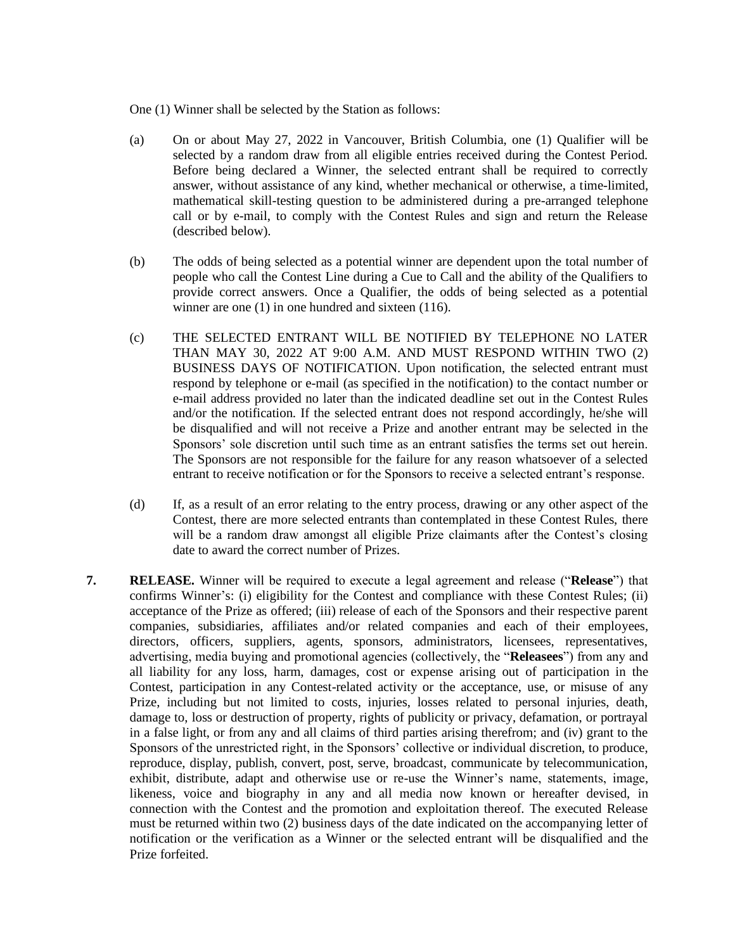One (1) Winner shall be selected by the Station as follows:

- (a) On or about May 27, 2022 in Vancouver, British Columbia, one (1) Qualifier will be selected by a random draw from all eligible entries received during the Contest Period. Before being declared a Winner, the selected entrant shall be required to correctly answer, without assistance of any kind, whether mechanical or otherwise, a time-limited, mathematical skill-testing question to be administered during a pre-arranged telephone call or by e-mail, to comply with the Contest Rules and sign and return the Release (described below).
- (b) The odds of being selected as a potential winner are dependent upon the total number of people who call the Contest Line during a Cue to Call and the ability of the Qualifiers to provide correct answers. Once a Qualifier, the odds of being selected as a potential winner are one (1) in one hundred and sixteen (116).
- (c) THE SELECTED ENTRANT WILL BE NOTIFIED BY TELEPHONE NO LATER THAN MAY 30, 2022 AT 9:00 A.M. AND MUST RESPOND WITHIN TWO (2) BUSINESS DAYS OF NOTIFICATION. Upon notification, the selected entrant must respond by telephone or e-mail (as specified in the notification) to the contact number or e-mail address provided no later than the indicated deadline set out in the Contest Rules and/or the notification. If the selected entrant does not respond accordingly, he/she will be disqualified and will not receive a Prize and another entrant may be selected in the Sponsors' sole discretion until such time as an entrant satisfies the terms set out herein. The Sponsors are not responsible for the failure for any reason whatsoever of a selected entrant to receive notification or for the Sponsors to receive a selected entrant's response.
- (d) If, as a result of an error relating to the entry process, drawing or any other aspect of the Contest, there are more selected entrants than contemplated in these Contest Rules, there will be a random draw amongst all eligible Prize claimants after the Contest's closing date to award the correct number of Prizes.
- **7. RELEASE.** Winner will be required to execute a legal agreement and release ("**Release**") that confirms Winner's: (i) eligibility for the Contest and compliance with these Contest Rules; (ii) acceptance of the Prize as offered; (iii) release of each of the Sponsors and their respective parent companies, subsidiaries, affiliates and/or related companies and each of their employees, directors, officers, suppliers, agents, sponsors, administrators, licensees, representatives, advertising, media buying and promotional agencies (collectively, the "**Releasees**") from any and all liability for any loss, harm, damages, cost or expense arising out of participation in the Contest, participation in any Contest-related activity or the acceptance, use, or misuse of any Prize, including but not limited to costs, injuries, losses related to personal injuries, death, damage to, loss or destruction of property, rights of publicity or privacy, defamation, or portrayal in a false light, or from any and all claims of third parties arising therefrom; and (iv) grant to the Sponsors of the unrestricted right, in the Sponsors' collective or individual discretion, to produce, reproduce, display, publish, convert, post, serve, broadcast, communicate by telecommunication, exhibit, distribute, adapt and otherwise use or re-use the Winner's name, statements, image, likeness, voice and biography in any and all media now known or hereafter devised, in connection with the Contest and the promotion and exploitation thereof. The executed Release must be returned within two (2) business days of the date indicated on the accompanying letter of notification or the verification as a Winner or the selected entrant will be disqualified and the Prize forfeited.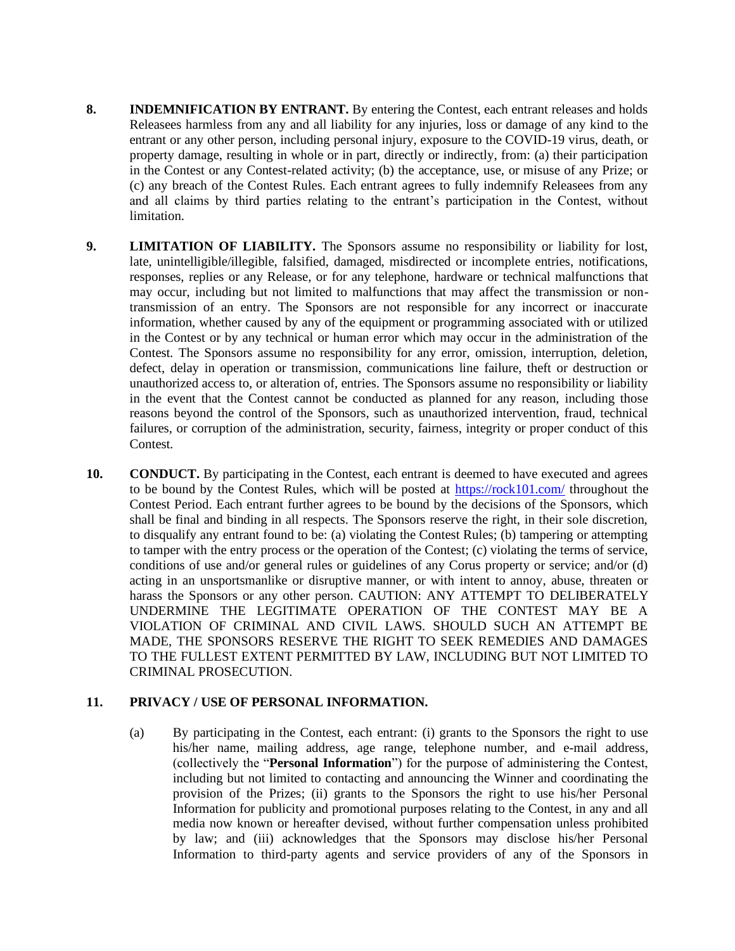- **8. INDEMNIFICATION BY ENTRANT.** By entering the Contest, each entrant releases and holds Releasees harmless from any and all liability for any injuries, loss or damage of any kind to the entrant or any other person, including personal injury, exposure to the COVID-19 virus, death, or property damage, resulting in whole or in part, directly or indirectly, from: (a) their participation in the Contest or any Contest-related activity; (b) the acceptance, use, or misuse of any Prize; or (c) any breach of the Contest Rules. Each entrant agrees to fully indemnify Releasees from any and all claims by third parties relating to the entrant's participation in the Contest, without limitation.
- **9. LIMITATION OF LIABILITY.** The Sponsors assume no responsibility or liability for lost, late, unintelligible/illegible, falsified, damaged, misdirected or incomplete entries, notifications, responses, replies or any Release, or for any telephone, hardware or technical malfunctions that may occur, including but not limited to malfunctions that may affect the transmission or nontransmission of an entry. The Sponsors are not responsible for any incorrect or inaccurate information, whether caused by any of the equipment or programming associated with or utilized in the Contest or by any technical or human error which may occur in the administration of the Contest. The Sponsors assume no responsibility for any error, omission, interruption, deletion, defect, delay in operation or transmission, communications line failure, theft or destruction or unauthorized access to, or alteration of, entries. The Sponsors assume no responsibility or liability in the event that the Contest cannot be conducted as planned for any reason, including those reasons beyond the control of the Sponsors, such as unauthorized intervention, fraud, technical failures, or corruption of the administration, security, fairness, integrity or proper conduct of this Contest.
- **10. CONDUCT.** By participating in the Contest, each entrant is deemed to have executed and agrees to be bound by the Contest Rules, which will be posted at<https://rock101.com/> throughout the Contest Period. Each entrant further agrees to be bound by the decisions of the Sponsors, which shall be final and binding in all respects. The Sponsors reserve the right, in their sole discretion, to disqualify any entrant found to be: (a) violating the Contest Rules; (b) tampering or attempting to tamper with the entry process or the operation of the Contest; (c) violating the terms of service, conditions of use and/or general rules or guidelines of any Corus property or service; and/or (d) acting in an unsportsmanlike or disruptive manner, or with intent to annoy, abuse, threaten or harass the Sponsors or any other person. CAUTION: ANY ATTEMPT TO DELIBERATELY UNDERMINE THE LEGITIMATE OPERATION OF THE CONTEST MAY BE A VIOLATION OF CRIMINAL AND CIVIL LAWS. SHOULD SUCH AN ATTEMPT BE MADE, THE SPONSORS RESERVE THE RIGHT TO SEEK REMEDIES AND DAMAGES TO THE FULLEST EXTENT PERMITTED BY LAW, INCLUDING BUT NOT LIMITED TO CRIMINAL PROSECUTION.

#### **11. PRIVACY / USE OF PERSONAL INFORMATION.**

(a) By participating in the Contest, each entrant: (i) grants to the Sponsors the right to use his/her name, mailing address, age range, telephone number, and e-mail address, (collectively the "**Personal Information**") for the purpose of administering the Contest, including but not limited to contacting and announcing the Winner and coordinating the provision of the Prizes; (ii) grants to the Sponsors the right to use his/her Personal Information for publicity and promotional purposes relating to the Contest, in any and all media now known or hereafter devised, without further compensation unless prohibited by law; and (iii) acknowledges that the Sponsors may disclose his/her Personal Information to third-party agents and service providers of any of the Sponsors in